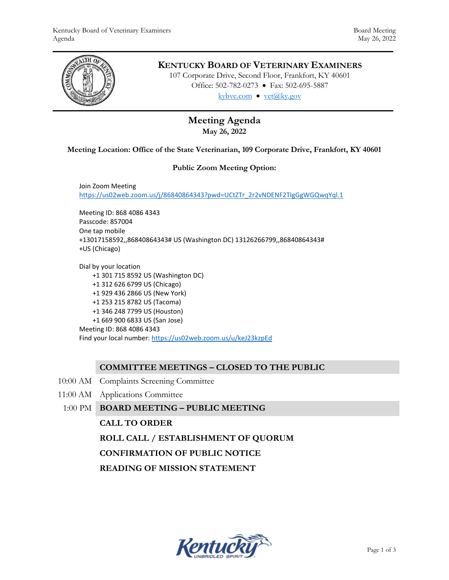

# **KENTUCKY BOARD OF VETERINARY EXAMINERS**

107 Corporate Drive, Second Floor, Frankfort, KY 40601 Office: 502-782-0273 • Fax: 502-695-5887 kybve.com  $\bullet$  yet $(\partial_k ky.gov)$ 

# **Meeting Agenda May 26, 2022**

### **Meeting Location: Office of the State Veterinarian, 109 Corporate Drive, Frankfort, KY 40601**

#### **Public Zoom Meeting Option:**

Join Zoom Meeting [https://us02web.zoom.us/j/86840864343?pwd=UCtZTr\\_2r2vNDENF2TIgGgWGQwqYql.1](https://us02web.zoom.us/j/86840864343?pwd=UCtZTr_2r2vNDENF2TIgGgWGQwqYql.1)

Meeting ID: 868 4086 4343 Passcode: 857004 One tap mobile +13017158592,,86840864343# US (Washington DC) 13126266799,,86840864343# +US (Chicago)

Dial by your location +1 301 715 8592 US (Washington DC) +1 312 626 6799 US (Chicago) +1 929 436 2866 US (New York) +1 253 215 8782 US (Tacoma) +1 346 248 7799 US (Houston) +1 669 900 6833 US (San Jose) Meeting ID: 868 4086 4343 Find your local number[: https://us02web.zoom.us/u/keJ23kzpEd](https://us02web.zoom.us/u/keJ23kzpEd)

### **COMMITTEE MEETINGS – CLOSED TO THE PUBLIC**

- 10:00 AM Complaints Screening Committee
- 11:00 AM Applications Committee

### 1:00 PM **BOARD MEETING – PUBLIC MEETING**

### **CALL TO ORDER**

**ROLL CALL / ESTABLISHMENT OF QUORUM**

**CONFIRMATION OF PUBLIC NOTICE**

**READING OF MISSION STATEMENT**

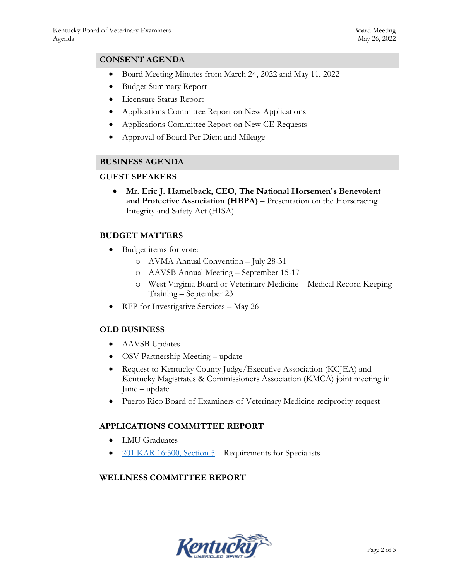## **CONSENT AGENDA**

- Board Meeting Minutes from March 24, 2022 and May 11, 2022
- Budget Summary Report
- Licensure Status Report
- Applications Committee Report on New Applications
- Applications Committee Report on New CE Requests
- Approval of Board Per Diem and Mileage

## **BUSINESS AGENDA**

### **GUEST SPEAKERS**

 **Mr. Eric J. Hamelback, CEO, The National Horsemen's Benevolent and Protective Association (HBPA)** – Presentation on the Horseracing Integrity and Safety Act (HISA)

## **BUDGET MATTERS**

- Budget items for vote:
	- o AVMA Annual Convention July 28-31
	- o AAVSB Annual Meeting September 15-17
	- o West Virginia Board of Veterinary Medicine Medical Record Keeping Training – September 23
- RFP for Investigative Services May 26

# **OLD BUSINESS**

- AAVSB Updates
- OSV Partnership Meeting update
- Request to Kentucky County Judge/Executive Association (KCJEA) and Kentucky Magistrates & Commissioners Association (KMCA) joint meeting in June – update
- Puerto Rico Board of Examiners of Veterinary Medicine reciprocity request

## **APPLICATIONS COMMITTEE REPORT**

- LMU Graduates
- $201$  KAR 16:500, Section 5 Requirements for Specialists

## **WELLNESS COMMITTEE REPORT**